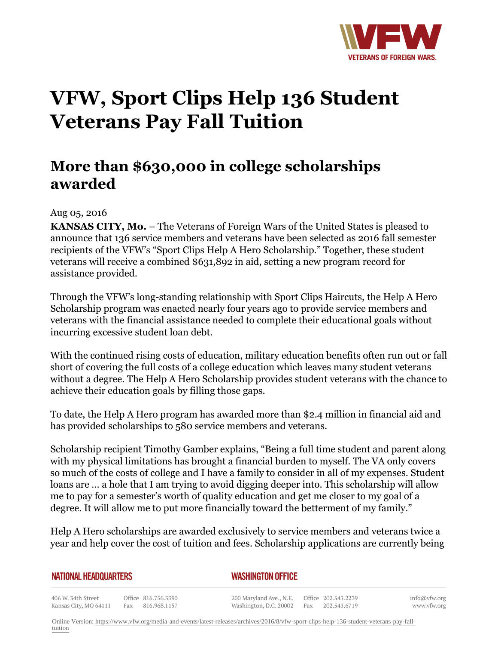

## **VFW, Sport Clips Help 136 Student Veterans Pay Fall Tuition**

## **More than \$630,000 in college scholarships awarded**

## Aug 05, 2016

**KANSAS CITY, Mo.** – The Veterans of Foreign Wars of the United States is pleased to announce that 136 service members and veterans have been selected as 2016 fall semester recipients of the VFW's "Sport Clips Help A Hero Scholarship." Together, these student veterans will receive a combined \$631,892 in aid, setting a new program record for assistance provided.

Through the VFW's long-standing relationship with Sport Clips Haircuts, the Help A Hero Scholarship program was enacted nearly four years ago to provide service members and veterans with the financial assistance needed to complete their educational goals without incurring excessive student loan debt.

With the continued rising costs of education, military education benefits often run out or fall short of covering the full costs of a college education which leaves many student veterans without a degree. The Help A Hero Scholarship provides student veterans with the chance to achieve their education goals by filling those gaps.

To date, the Help A Hero program has awarded more than \$2.4 million in financial aid and has provided scholarships to 580 service members and veterans.

Scholarship recipient Timothy Gamber explains, "Being a full time student and parent along with my physical limitations has brought a financial burden to myself. The VA only covers so much of the costs of college and I have a family to consider in all of my expenses. Student loans are … a hole that I am trying to avoid digging deeper into. This scholarship will allow me to pay for a semester's worth of quality education and get me closer to my goal of a degree. It will allow me to put more financially toward the betterment of my family."

Help A Hero scholarships are awarded exclusively to service members and veterans twice a year and help cover the cost of tuition and fees. Scholarship applications are currently being

*WASHINGTON OFFICE* 

406 W. 34th Street Office 816.756.3390 Fax 816.968.1157 Kansas City, MO 64111

200 Maryland Ave., N.E. Washington, D.C. 20002

Office 202.543.2239 Fax 202.543.6719

info@vfw.org www.vfw.org